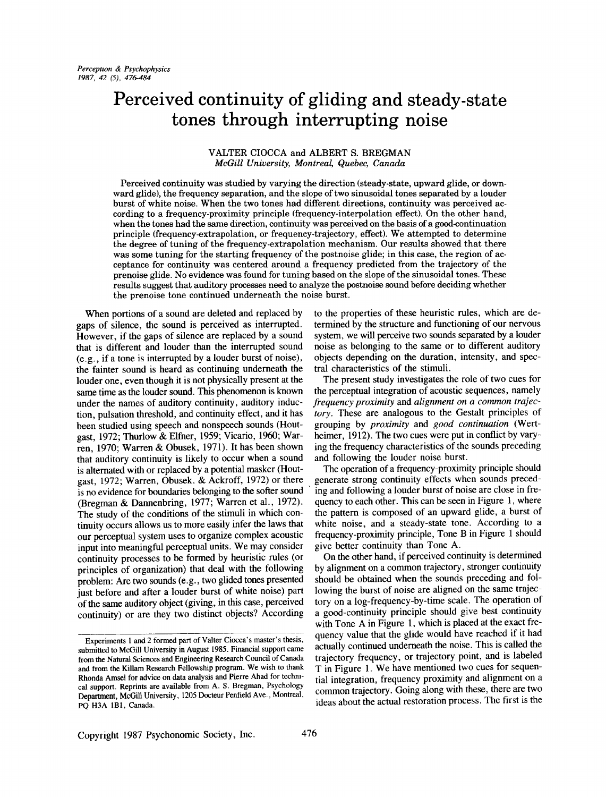# **Perceived continuity of gliding and steady-state tones through interrupting noise**

# VALTER CIOCCA and ALBERT S. BREGMAN *McGill University, Montreal, Quebec, Canada*

Perceived continuity was studied by varying the direction (steady-state, upward glide, or downward glide), the frequency separation, and the slope of two sinusoidal tones separated by a louder burst of white noise. When the two tones had different directions, continuity was perceived according to a frequency-proximity principle (frequency-interpolation effect). On the other hand, when the tones had the same direction, continuity was perceived on the basis of a good-continuation principle (frequency-extrapolation, or frequency-trajectory, effect). We attempted to determine the degree of tuning of the frequency-extrapolation mechanism. Our results showed that there was some tuning for the starting frequency of the postnoise glide; in this case, the region of acceptance for continuity was centered around a frequency predicted from the trajectory of the prenoise glide. No evidence was found for tuning based on the slope of the sinusoidal tones. These results suggest that auditory processes need to analyze the pestnoise sound before deciding whether the prenoise tone continued underneath the noise burst.

When portions of a sound are deleted and replaced by gaps of silence, the sound is perceived as interrupted. However, if the gaps of silence are replaced by a sound that is different and louder than the interrupted sound (e.g., if a tone is interrupted by a louder burst of noise), the fainter sound is heard as continuing underneath the louder one, even though it is not physically present at the same time as the louder sound. This phenomenon is known under the names of auditory continuity, auditory induction, pulsation threshold, and continuity effect, and it has been studied using speech and nonspeech sounds (Houtgast, 1972; Thurlow & Elfner, 1959; Vicario, 1960; Warren, 1970; Warren & Obusek, 1971). It has been shown that auditory continuity is likely to occur when a sound is alternated with or replaced by a potential masker (Houtgast, 1972; Warren, Obusek. & Ackroff, 1972) or there is no evidence for boundaries belonging to the softer sound (Bregman & Dannenbring, 1977; Warren et al., 1972). The study of the conditions of the stimuli in which continuity occurs allows us to more easily infer the laws that our perceptual system uses to organize complex acoustic input into meaningful perceptual units. We may consider continuity processes to be formed by heuristic rules (or principles of organization) that deal with the following problem: Are two sounds (e.g., two glided tones presented just before and after a louder burst of white noise) part of the same auditory object (giving, in this case, perceived continuity) or are they two distinct objects? According

to the properties of these heuristic rules, which are determined by the structure and functioning of our nervous system, we will perceive two sounds separated by a louder noise as belonging to the same or to different auditory objects depending on the duration, intensity, and spectral characteristics of the stimuli.

The present study investigates the role of two cues for the perceptual integration of acoustic sequences, namely *frequency proximity* and *alignment on a common trajectory.* These are analogous to the Gestalt principles of grouping by *proximity* and *good continuation (Wert*heimer, 1912). The two cues were put in conflict by varying the frequency characteristics of the sounds preceding and following the louder noise burst.

The operation of a frequency-proximity principle should generate strong continuity effects when sounds preceding and following a louder burst of noise are close in frequency to each other. This can be seen in Figure 1, where the pattern is composed of an upward glide, a burst of white noise, and a steady-state tone. According to a frequency-proximity principle, Tone B in Figure 1 should give better continuity than Tone A.

On the other hand, if perceived continuity is determined by alignment on a common trajectory, stronger continuity should be obtained when the sounds preceding and following the burst of noise are aligned on the same trajectory on a log-frequency-by-time scale. The operation of a good-continuity principle should give best continuity with Tone A in Figure 1, which is placed at the exact frequency value that the glide would have reached if it had actually continued underneath the noise. This is called the trajectory frequency, or trajectory point, and is labeled T in Figure 1. We have mentioned two cues for sequential integration, frequency proximity and alignment on a common trajectory. Going along with these, there are two ideas about the actual restoration process. The first is the

Experiments 1 and 2 formed part of Valter Ciocca's master's thesis, submitted to McGill University in August 1985. Financial support came from the Natural Sciences and Engineering Research Council of Canada and from the Killam Research Fellowship program. We wish to thank Rhonda Amsel for advice on data analysis and Pierre Ahad for technical support. Reprints are available from A. S. Bregrnan, Psychology Department, McGill University, 1205 Docteur Penfield Ave., Montreal, PQ H3A IB1, Canada.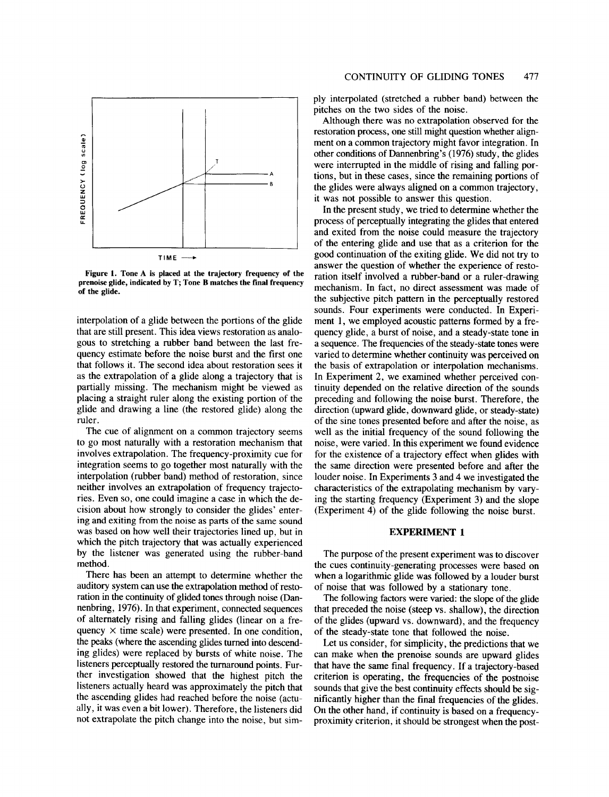

**Figure 1. Tone A is placed at the trajectory frequency of the** prenoise **glide, indicated by T; Tone B matches the final frequency** of the glide.

interpolation of a glide between the portions of the glide that are still present. This idea views restoration as analogous to stretching a rubber band between the last frequency estimate before the noise burst and the first one that follows it. The second idea about restoration sees it as the extrapolation of a glide along a trajectory that is partially missing. The mechanism might be viewed as placing a straight ruler along the existing portion of the glide and drawing a line (the restored glide) along the ruler.

The cue of alignment on a common trajectory seems to go most naturally with a restoration mechanism that involves extrapolation. The frequency-proximity cue for integration seems to go together most naturally with the interpolation (rubber band) method of restoration, since neither involves an extrapolation of frequency trajectories. Even so, one could imagine a case in which the decision about how strongly to consider the glides' entering and exiting from the noise as parts of the same sound was based on how well their trajectories lined up, but in which the pitch trajectory that was actually experienced by the listener was generated using the rubber-band method.

There has been an attempt to determine whether the auditory system can use the extrapolation method of restoration in the continuity of glided tones through noise (Dannenbring, 1976). In that experiment, connected sequences of alternately rising and falling glides (linear on a frequency  $\times$  time scale) were presented. In one condition, the peaks (where the ascending glides turned into descending glides) were replaced by bursts of white noise. The listeners perceptually restored the turnaround points. Further investigation showed that the highest pitch the listeners actually heard was approximately the pitch that the ascending glides had reached before the noise (actually, it was even a bit lower). Therefore, the listeners did not extrapolate the pitch change into the noise, but simply interpolated (stretched a rubber band) between the pitches on the two sides of the noise.

Although there was no extrapolation observed for the restoration process, one still might question whether alignment on a common trajectory might favor integration. In other conditions of Dannenbring's (1976) study, the glides were interrupted in the middle of rising and falling portions, but in these cases, since the remaining portions of the glides were always aligned on a common trajectory, it was not possible to answer this question.

In the present study, we tried to determine whether the process of perceptually integrating the glides that entered and exited from the noise could measure the trajectory of the entering glide and use that as a criterion for the good continuation of the exiting glide. We did not try to answer the question of whether the experience of restoration itself involved a rubber-band or a ruler-drawing mechanism. In fact, no direct assessment was made of the subjective pitch pattern in the perceptually restored sounds. Four experiments were conducted. In Experiment 1, we employed acoustic patterns formed by a frequency glide, a burst of noise, and a steady-state tone in a sequence. The frequencies of the steady-state tones were varied to determine whether continuity was perceived on the basis of extrapolation or interpolation mechanisms. In Experiment 2, we examined whether perceived continuity depended on the relative direction of the sounds preceding and following the noise burst. Therefore, the direction (upward glide, downward glide, or steady-state) of the sine tones presented before and after the noise, as well as the initial frequency of the sound following the noise, were varied. In this experiment we found evidence for the existence of a trajectory effect when glides with the same direction were presented before and after the louder noise. In Experiments 3 and 4 we investigated the characteristics of the extrapolating mechanism by varying the starting frequency (Experiment 3) and the slope (Experiment 4) of the glide following the noise burst.

## EXPERIMENT 1

The purpose of the present experiment was to discover the cues continuity-generating processes were based on when a logarithmic glide was followed by a louder burst of noise that was followed by a stationary tone.

The following factors were varied: the slope of the glide that preceded the noise (steep vs. shallow), the direction of the glides (upward vs. downward), and the frequency of the steady-state tone that followed the noise.

Let us consider, for simplicity, the predictions that we can make when the prenoise sounds are upward glides that have the same final frequency. If a trajectory-based criterion is operating, the frequencies of the postnoise sounds that give the best continuity effects should be significantly higher than the final frequencies of the glides. On the other hand, if continuity is based on a frequencyproximity criterion, it should be strongest when the post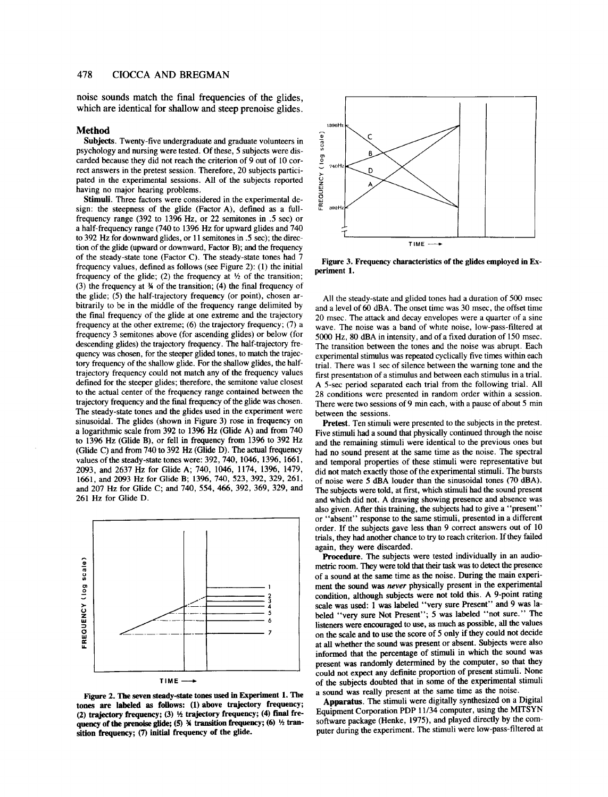noise sounds match the final frequencies of the glides, which are identical for shallow and steep prenoise glides.

### **Method**

**Subjects.** Twenty-five undergraduate and graduate volunteers in psychology and nursing were tested. Of these, 5 subjects were discarded because they did not reach the criterion of 9 out of 10 correct answers in the pretest session. Therefore, 20 subjects participated in the experimental sessions. All of the subjects reported having no major hearing problems.

Stimuli. Three factors were considered in the experimental design: the steepness of the glide (Factor A), defined as a fullfrequency range (392 to 1396 Hz, or 22 semitones in .5 sec) or a half-frequency range (740 to 1396 Hz for upward glides and 740 to 392 Hz for downward glides, or 11 semitones in .5 sec); the direction of the glide (upward or downward, Factor B); and the frequency of the steady-state tone (Factor C). The steady-state tones had 7 frequency values, defined as follows (see Figure 2): (1) the initial frequency of the glide; (2) the frequency at  $\frac{1}{2}$  of the transition; (3) the frequency at ¾ of the transition; (4) the final frequency of the glide; (5) the half-trajectory frequency (or point), chosen arbitrarily to be in the middle of the frequency range delimited by the final frequency of the glide at one extreme and the trajectory frequency at the other extreme; (6) the trajectory frequency; (7) a frequency 3 semitones above (for ascending glides) or below (for descending glides) the trajectory frequency. The half-trajectory frequency was chosen, for the steeper glided tones, to match the trajectory frequency of the shallow glide. For the shallow glides, the halftrajectory frequency could not match any of the frequency values defined for the steeper glides; therefore, the semitone value closest to the actual center of the frequency range contained between the trajectory frequency and the final frequency of the glide was chosen. The steady-state tones and the glides used in the experiment were sinusoidal. The glides (shown in Figure 3) rose in frequency on a logarithmic scale from 392 to 1396 Hz (Glide A) and from 740 to 1396 Hz (Glide B), or fell in frequency from 1396 to 392 Hz (Glide C) and from 740 to 392 Hz (Glide D). The actual frequency values of the steady-state tones were: 392,740, 1046, 1396, 1661, 2093, and 2637 Hz for Glide A; 740, 1046, 1174, 1396, 1479, 1661, and 2093 Hz for Glide B; 1396, 740, 523,392, 329, 261, and 207 Hz for Glide C; and 740, 554, 466, 392, 369, 329, and 261 Hz for Glide D.



Figure 2. The seven steady-state tones used in Experiment 1. The **tones are labeled as follows: (1)above trajectory frequency;** (2) trajectory frequency; (3)  $\frac{1}{2}$  trajectory frequency; (4) final frequency of the prenoise glide; (5) *A* transition frequency; (6) <sup>1</sup>/<sub>2</sub> tran**sition frequency; (7) initial frequency of the glide.**



Figure 3. **Frequency characteristics of the glides employed in** Experiment 1.

All the steady-state and glided tones had a duration of 500 msec and a level of 60 dBA. The onset time was 30 msec, the offset time 20 msec. The attack and decay envelopes were a quarter of a sine wave. The noise was a band of white noise, low-pass-filtered at 5000 Hz, 80 dBA in intensity, and of a fixed duration of 150 msec. The transition between the tones and the noise was abrupt. Each experimental stimulus was repeated cyclically five times within each trial. There was 1 sec of silence between the warning tone and the first presentation of a stimulus and between each stimulus in a trial. A 5-sec period separated each trial from the following trial. All 28 conditions were presented in random order within a session. There were two sessions of 9 min each, with a pause of about 5 min between the sessions.

Pretest. Ten stimuli were presented to the subjects in the pretest. Five stimuli had a sound that physically continued through the noise and the remaining stimuli were identical to the previous ones but had no sound present at the same time as the noise. The spectral and temporal properties of these stimuli were representative but did not match exactly those of the experimental stimuli. The bursts of noise were 5 dBA louder than the sinusoidal tones (70 dBA). The subjects were told, at first, which stimuli had the sound present and which did not. A drawing showing presence and absence was also given. After this training, the subjects had to give a "present" or "absent" response to the same stimuli, presented in a different order. If the subjects gave less than 9 correct answers out of 10 trials, they had another chance to try to reach criterion. If they failed again, they were discarded.

**Procedure.** The subjects were tested individually in an audiometric room. They were told that their task was to detect the presence of a sound at the same time as the noise. During the main experiment the sound was *never* physically present in the experimental condition, although subjects were not told this. A 9-point rating scale was used: 1 was labeled "very sure Present" and 9 was labeled "very **sure Not** Present"; 5 was labeled "not sure." The listeners were encouraged to use, as much as possible, all the values on the scale and to use the score of 5 only if they **could not** decide at all whether the sound was present or absent. Subjects were also informed that the percentage of stimuli in which the sound was present was randomly determined by the computer, so that they could not expect any definite proportion of present stimuli. None of the subjects doubted that in some of the experimental stimuli a sound was really present at the same time as the noise.

Apparatus. The stimuli were digitally synthesized on a Digital Equipment Corporation PDP 11/34 computer, using the MITSYN software package (Henke, 1975), and played directly by the computer during the experiment. The stimuli were low-pass-filtered at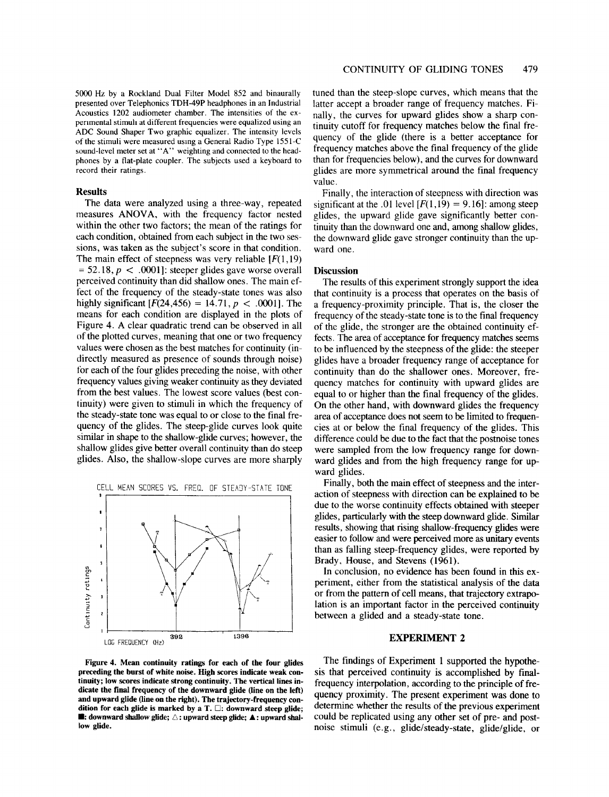Acoustics 1202 audiometer chamber. The intensities of the experimental stimuh at different frequencies were equalized using an ADC Sound Shaper Two graphic equalizer. The intensity levels of the stimuli were measured using a General Radio Type 1551-C sound-level meter set at "A" weighting and connected to the headphones by a fiat-plate coupler. The subjects used a keyboard to record their ratings.

## **Results**

The data were analyzed using a three-way, repeated measures ANOVA, with the frequency factor nested within the other two factors; the mean of the ratings for each condition, obtained from each subject in the two sessions, was taken as the subject's score in that condition. The main effect of steepness was very reliable  $[F(1, 19)]$  $= 52.18, p < .0001$ : steeper glides gave worse overall perceived continuity than did shallow ones. The main effect of the frequency of the steady-state tones was also highly significant  $[F(24, 456) = 14.71, p < .0001]$ . The means for each condition are displayed in the plots of Figure 4. A clear quadratic trend can be observed in all of the plotted curves, meaning that one or two frequency values were chosen as the best matches for continuity (indirectly measured as presence of sounds through noise) for each of the four glides preceding the noise, with other frequency values giving weaker continuity as they deviated from the best values. The lowest score values (best continuity) were given to stimuli in which the frequency of the steady-state tone was equal to or close to the final frequency of the glides. The steep-glide curves look quite similar in shape to the shallow-glide curves; however, the shallow glides give better overall continuity than do steep glides. Also, the shallow-slope curves are more sharply



Figure 4. Mean **continuity ratings for** each of the four glides **preceding the burst** of white noise. High scores indicate weak continuity; low scores indicate **strong continuity.** The vertical lines **in**dicate the final frequency of the downward glide (line on the left) **and upward** glide (line on the right). The trajectory-frequency condition for each glide is marked by a T.  $\Box$ : downward steep glide; **ld**: downward shallow glide;  $\triangle$ : upward steep glide;  $\triangle$ : upward shallow glide.

tuned than the steep-slope curves, which means that the latter accept a broader range of frequency matches. Finally, the curves for upward glides show a sharp continuity cutoff for frequency matches below the final frequency of the glide (there is a better acceptance for frequency matches above the final frequency of the glide than for frequencies below), and the curves for downward glides are more symmetrical around the final frequency value.

Finally, the interaction of steepness with direction was significant at the .01 level  $[F(1,19) = 9.16]$ : among steep glides, the upward glide gave significantly better continuity than the downward one and, among shallow glides, the downward glide gave stronger continuity than the upward one.

## **Discussion**

The results of this experiment strongly support the idea that continuity is a process that operates on the basis of a frequency-proximity principle. That is, the closer the frequency of the steady-state tone is to the final frequency of the glide, the stronger are the obtained continuity effects. The area of acceptance for frequency matches seems to be influenced by the steepness of the glide: the steeper glides have a broader frequency range of acceptance for continuity than do the shallower ones. Moreover, frequency matches for continuity with upward glides are equal to or higher than the final frequency of the glides. On the other hand, with downward glides the frequency area of acceptance does not seem to be limited to frequencies at or below the final frequency of the glides. This difference could be due to the fact that the postnoise tones were sampled from the low frequency range for downward glides and from the high frequency range for upward glides.

Finally, both the main effect of steepness and the interaction of steepness with direction can be explained to be due to the worse continuity effects obtained with steeper glides, particularly with the steep downward glide. Similar results, showing that rising shallow-frequency glides were easier to follow and were perceived more as unitary events than as falling steep-frequency glides, were reported by Brady, House, and Stevens (1961).

In conclusion, no evidence has been found in this experiment, either from the statistical analysis of the data or from the pattern of cell means, that trajectory extrapolation is an important factor in the perceived continuity between a glided and a steady-state tone.

## **EXPERIMENT 2**

The findings of Experiment 1 supported the hypothesis that perceived continuity is accomplished by finalfrequency interpolation, according to the principle of frequency proximity. The present experiment was done to determine whether the results of the previous experiment could be replicated using any other set of pre- and postnoise stimuli (e.g., glide/steady-state, glide/glide, or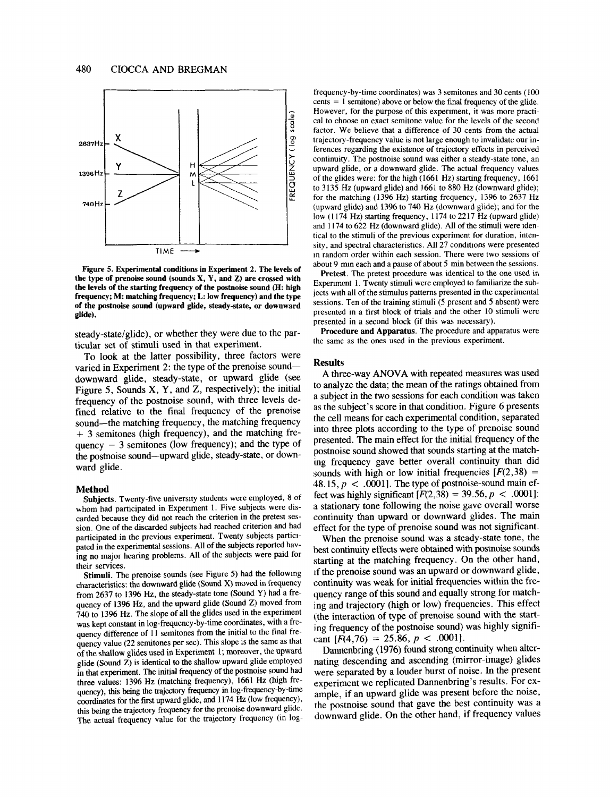

**Figure 5. Experimental conditions in Experiment 2. The levels of the type of prenoise sound (sounds X, Y, and Z) are crossed with the levels of the starting frequency of the postnoise sound (H: high frequency; M: matching frequency; L: low frequency) and the type of the postnoise sound (upward glide, steady-state, or downward glide).**

steady-state/glide), or whether they were due to the particular set of stimuli used in that experiment.

To look at the latter possibility, three factors were varied in Experiment 2: the type of the prenoise sounddownward glide, steady-state, or upward glide (see Figure 5, Sounds X, Y, and Z, respectively); the initial frequency of the postnoise sound, with three levels defined relative to the final frequency of the prenoise sound--the matching frequency, the matching frequency + 3 semitones (high frequency), and the matching frequency  $-3$  semitones (low frequency); and the type of **the** postnoise sound--upward glide, steady-state, or downward glide.

## **Method**

**Subjects.** Twenty-five university students were employed, 8 of whom had participated in Experiment 1. Five subjects were discarded because they did not reach the criterion in **the pretest** session. One of the discarded subjects had reached criterion and had participated in the previous experiment. Twenty subjects partiopated in the experimental sessions. All of the subjects reported having no major hearing problems. All of the subjects were paid for their services.

Stimuli. The prenoise sounds (see Figure 5) had the following characteristics: the downward glide (Sound X) moved in frequency from 2637 to 1396 Hz, the steady-state tone (Sound Y) had a frequency of 1396 Hz, and the upward glide (Sound Z) moved from 740 to 1396 Hz. The slope of all the glides used in the experiment was kept constant in log-frequency-by-time coordinates, with a frequency difference of 11 semitones from the initial to the final frequency value (22 semitones per sec). This slope is the same as that of the shallow glides used in Experiment 1; moreover, the upward glide (Sound Z) is identical to the shallow upward glide employed in that experiment. The initial frequency of the postnoise sound had **three** values: 1396 Hz (matching frequency), 1661 Hz (high frequency), this being the trajectory frequency in log-frequency-by-time coordinates for the first upward glide, and 1174 Hz (low frequency), this being the trajectory frequency for the prenoise downward glide. **The** actual frequency value for the trajectory frequency (in log-

frequency-by-time coordinates) was 3 semitones and 30 cents (100  $cents = 1$  semitone) above or below the final frequency of the glide. However, for the purpose of this experiment, it was more practical to choose an exact semitone value for the levels of the second factor. We believe that a difference of 30 cents from the actual trajectory-frequency value is not large enough to invalidate our inferences regarding the existence of trajectory effects in perceived continuity. The postnoise sound was either a steady-state tone, an upward glide, or a downward glide. The actual frequency values of the glides were: for **the high** (1661 Hz) starting frequency, 1661 to 3135 Hz (upward glide) and 1661 to 880 Hz (downward glide); for the matching (1396 Hz) starting frequency, 1396 to 2637 Hz (upward glide) and 1396 to 740 Hz (downward glide); and for **the** low (1174 Hz) starting frequency, 1174 to 2217 Hz (upward glide) and  $1174$  to  $622$  Hz (downward glide). All of the stimuli were identical to the stimuli of the previous experiment for duration, intensity, and spectral characteristics. All 27 conditions were presented tn random order within each session. There were two sessions of about 9 nun each and a pause of about 5 min between the sessions.

Pretest. The pretest procedure was identical to the one used in Experiment 1. Twenty stimuli were employed to familiarize the subjects with all of the stimulus patterns presented in the experimental sessions. Ten of the training stimuli (5 present and 5 absent) were presented in a first block of trials and the other 10 stimuli were presented in a second block (if this was necessary).

**Procedure and Apparatus. The** procedure and apparatus were **the** same as the ones used in the previous experiment.

#### **Results**

A three-way ANOVA with repeated measures was used to analyze the data; the mean of the ratings obtained from a subject in the two sessions for each condition was taken as the subject's score in that condition. Figure 6 presents **the** cell means for each experimental condition, separated into three plots according to the type of prenoise sound presented. The main effect for the initial frequency of **the** postnoise sound showed that sounds starting at the matching frequency gave better overall continuity than did sounds with high or low initial frequencies  $[F(2,38) =$ 48.15,  $p < .0001$ . The type of postnoise-sound main effect was highly significant  $[F(2,38) = 39.56, p < .0001]$ : a stationary tone following the noise gave overall worse continuity than upward or downward glides. The main effect for the type of prenoise sound was not significant.

When the prenoise sound was a steady-state tone, **the** best continuity effects were obtained with postnoise sounds starting at the matching frequency. On the other hand, If the prenoise sound was an upward or downward glide, continuity was weak for initial frequencies within the frequency range of this sound and equally strong for matching and trajectory (high or low) frequencies. This effect (the interaction of type of prenoise sound with the starting frequency of the postnoise sound) was highly significant  $[F(4,76) = 25.86, p < .0001]$ .

Dannenbring (1976) found strong continuity when alterhating descending and ascending (mirror-image) glides were separated by a louder burst of noise. In the present experiment we replicated Dannenbring's results. For ex ample, if an upward glide was present before the noise, the postnoise sound that gave the best continuity was a downward glide. On the other hand, if frequency values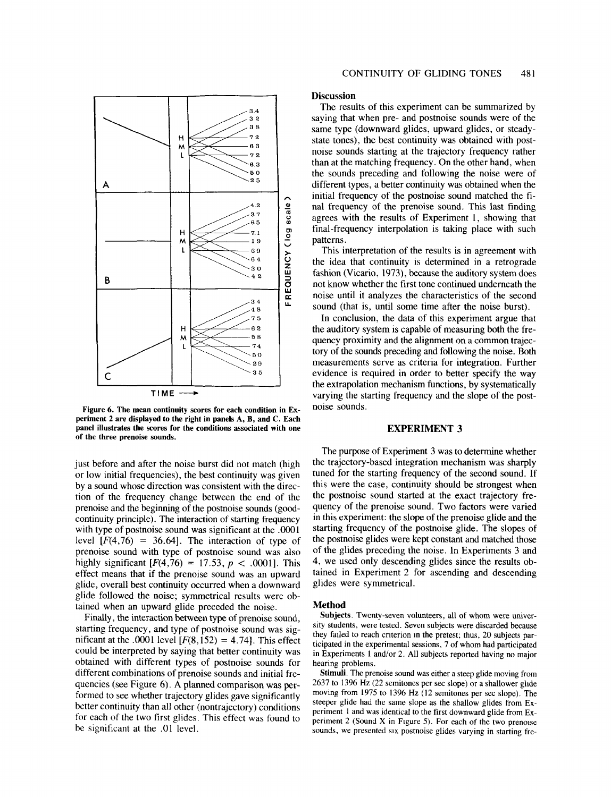

**Figure 6. The mean continuity scores for each condition in Experiment 2 are displayed to the right in panels A, B, and C. Each panel illustrates the scores for the conditions associated with one of the three prenoise sounds.**

just before and after the noise burst did not match (high or low initial frequencies), the best continuity was given by a sound whose direction was consistent with the direction of the frequency change between the end of the prenoise and the beginning of the postnoise sounds (goodcontinuity principle). The interaction of starting frequency with type of postnoise sound was significant at the .0001 level  $[F(4,76) = 36.64]$ . The interaction of type of prenoise sound with type of postnoise sound was also highly significant  $[F(4,76) = 17.53, p < .0001]$ . This effect means that if the prenoise sound was an upward glide, overall best continuity occurred when a downward glide followed the noise; symmetrical results were obtained when an upward glide preceded the noise.

Finally, the interaction between type of prenoise sound, starting frequency, and type of postnoise sound was significant at the .0001 level  $[F(8,152) = 4.74]$ . This effect could be interpreted by saying that better continuity was obtained with different types of postnoise sounds for different combinations of prenoise sounds and initial frequencies (see Figure 6). A planned comparison was performed to see whether trajectory glides gave significantly better continuity than all other (nontrajectory) conditions for each of the two first glides. This effect was found to be significant at the .01 level.

### **Discussion**

The results of this experiment can be summarized by saying that when pre- and postnoise sounds were of the same type (downward glides, upward glides, or steadystate tones), the best continuity was obtained with postnoise sounds starting at the trajectory frequency rather than at the matching frequency. On the other hand, when the sounds preceding and following the noise were of different types, a better continuity was obtained when the initial frequency of the postnoise sound matched the final frequency of the prenoise sound. This last finding agrees with the results of Experiment 1, showing that final-frequency interpolation is taking place with such patterns.

This interpretation of the results is in agreement with the idea that continuity is determined in a retrograde fashion (Vicario, 1973), because the auditory system does not know whether the first tone continued underneath the noise until it analyzes the characteristics of the second sound (that is, until some time after the noise burst).

In conclusion, the data of this experiment argue that the auditory system is capable of measuring both the frequency proximity and the alignment on a common trajectory of the sounds preceding and following the noise. Both measurements serve as criteria for integration. Further evidence is required in order to better specify the way the extrapolation mechanism functions, by systematically varying the starting frequency and the slope of the postnoise sounds.

# **EXPERIMENT 3**

The purpose of Experiment 3 was to determine whether the trajectory-based integration mechanism was sharply tuned for the starting frequency of the second sound. If this were the case, continuity should be strongest when the postnoise sound started at the exact trajectory frequency of the prenoise sound. Two factors were varied in this experiment: the slope of the prenoise glide and the starting frequency of the postnoise glide. The slopes of the postnoise glides were kept constant and matched those of the glides preceding the noise. In Experiments 3 and 4, we used only descending glides since the results obtained in Experiment 2 for ascending and descending glides were symmetrical.

## **Method**

**Subjects.** Twenty-seven volunteers, all of whom were university students, were tested. Seven subjects were discarded because they faded to reach criterion m the pretest; thus, 20 subjects participated in the experimental sessions, 7 of whom had participated in Experiments 1 and/or 2. All subjects reported having no major hearing problems.

Stimuli. The prenoise sound was either a steep glide moving from 2637 to 1396 Hz (22 semitones per sec slope) or a shallower ghde moving from 1975 to 1396 Hz (12 semitones per sec slope). The steeper glide had the same slope as the shallow glides from Experiment 1 and was identical to the first downward glide from Experiment 2 (Sound X in Figure 5). For each of the two prenose sounds, we presented six postnoise glides varying in starting fre-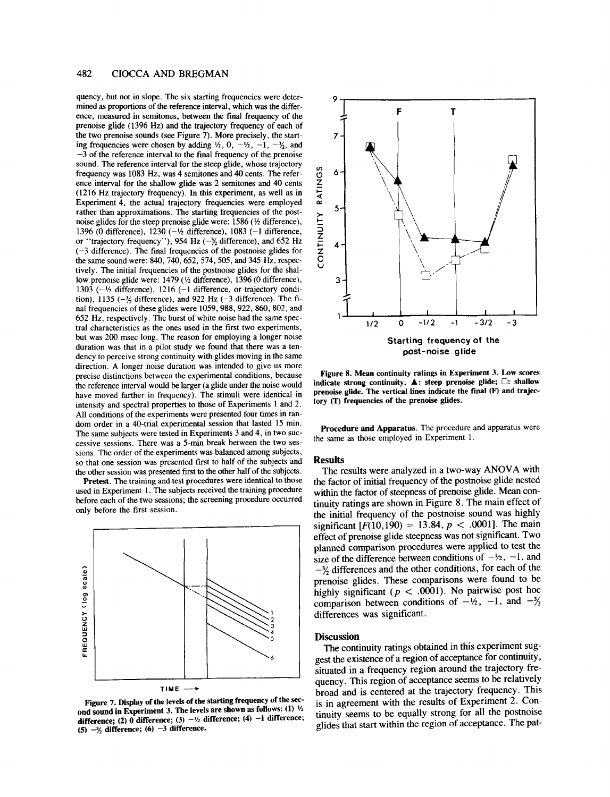# **482 CIOCCA AND BREGMAN**

quency, but not in slope. The six starting frequencies were deter- 9 mined as proportions of the reference interval, which was the difference, measured in semitones, between the final frequency of the prenoise glide (1396 Hz) and the trajectory frequency of each of the two prenoise sounds (see Figure 7). More precisely, the startthe two prenoise sounds (see Figure 7). More precisely, the starting frequencies were chosen by adding  $\frac{1}{2}$ , 0,  $-\frac{1}{2}$ ,  $-\frac{1}{2}$ , and  $-3$  of the reference interval to the final frequency of the prenoise sound. The reference interval for the steep glide, whose trajectory<br>frequency was 1083 Hz, was 4 semitones and 40 cents. The refer-<br>ence interval for the shallow glide was 2 semitones and 40 cents<br>(1216 Hz trajectory freq ence interval for the shallow glide was 2 semitones and 40 cents (1216 Hz trajectory frequency). In this experiment, as well as in Experiment 4, the actual trajectory frequencies were employed rather than approximations. The starting frequencies of the post-<br>noise glides for the steep prenoise glide were: 1586 ( $\frac{1}{2}$  difference),<br>1396 (0 difference), 1230 ( $-\frac{1}{2}$  difference), 1083 ( $-1$  difference,<br>or "t noise glides for the steep prenoise glide were:  $1586$  ( $\frac{1}{2}$  difference), 1396 (0 difference), 1230  $(-1/2)$  difference), 1083  $(-1)$  difference, or "trajectory frequency"), 954 Hz ( $-\frac{3}{2}$  difference), and 652 Hz  $(-3$  difference). The final frequencies of the postnoise glides for the same sound were: 840, 740, 652, 574, 505, and 345 Hz, respectively. The initial frequencies of the postnoise glides for the shallow prenoise glide were:  $1479$  ( $\frac{1}{2}$  difference), 1396 (0 difference), 3 1303 ( $-\frac{1}{2}$  difference), 1216 ( $-1$  difference, or trajectory condition), 1135 ( $-\frac{3}{2}$  difference), and 922 Hz ( $-3$  difference). The final frequencies of these glides were 1059, 988, 922, 860, 802, and 652 Hz, respectively. The burst of white noise had the same spec- <sup>1</sup> tral characteristics as the ones used in the first two experiments, but was 200 msec long. The reason for employing a longer noise duration was that in a pilot study we found that there was a tendency to perceive strong continuity with glides moving in the same direction. A longer noise duration was intended to give us more precise distinctions between the experimental conditions, because the reference interval would be larger (a glide under the noise would have moved farther in frequency). The stimuli were identical in intensity and spectral properties to those of Experiments 1 and 2. All conditions of the experiments were presented four times in random order in a 40-trial experimental session that lasted 15 min. The same subjects were tested in Experiments 3 and 4, in two successive sessions. There was a 5-min break between the two sessions. The order of the experiments was balanced among subjects, so that one session was presented first to half of the subjects and the other session was presented first to the other half of the subjects.

Pretest. The training and test procedures were identical to those used in Experiment 1. The subjects received the training procedure before each of the two sessions; the screening procedure occurred only before the first session.



**Figure 7. Display of the levels of the starting frequency of the second sound in Experiment 3. The levels are shown as follows: (1)**  $\frac{1}{2}$ difference; (2) 0 difference; (3)  $-\frac{1}{2}$  difference; (4)  $-1$  difference;  $(5)$   $-\frac{3}{2}$  difference;  $(6)$   $-3$  difference.



**Figure 8. Mean continuity ratings in Experiment 3. Low scores indicate strong continuity. &: steep prenoise glide; []: shallow** prenoise glide. The vertical lines indicate the final (F) and trajec**tory (T) frequencies of the prenoise glides.**

**Procedure and Apparatus.** The procedure and apparatus were the same as those employed in Experiment 1.

#### **Results**

The results were analyzed in a two-way ANOVA with the factor of initial frequency of the postnoise glide nested within the factor of steepness of prenoise glide. Mean continuity ratings are shown in Figure 8. The main effect of the initial frequency of the postnoise sound was highly significant  $[F(10,190) = 13.84, p < .0001]$ . The main effect of prenoise glide steepness was not significant. Two planned comparison procedures were applied to test the size of the difference between conditions of  $-\frac{1}{2}$ ,  $-1$ , and  $-\frac{3}{2}$  differences and the other conditions, for each of the prenoise glides. These comparisons were found to be highly significant ( $p < .0001$ ). No pairwise post hoc comparison between conditions of  $-\frac{1}{2}$ ,  $-1$ , and  $-\frac{3}{2}$ differences was significant.

#### **Discussion**

The continuity ratings obtained in this experiment suggest the existence of a region of acceptance for continuity, situated in a frequency region around the trajectory frequency. This region of acceptance seems to be relatively broad and is centered at the trajectory frequency. This is in agreement with the results of Experiment 2. Continuity seems to be equally strong for all the postnoise glides that start within the region of acceptance. The pat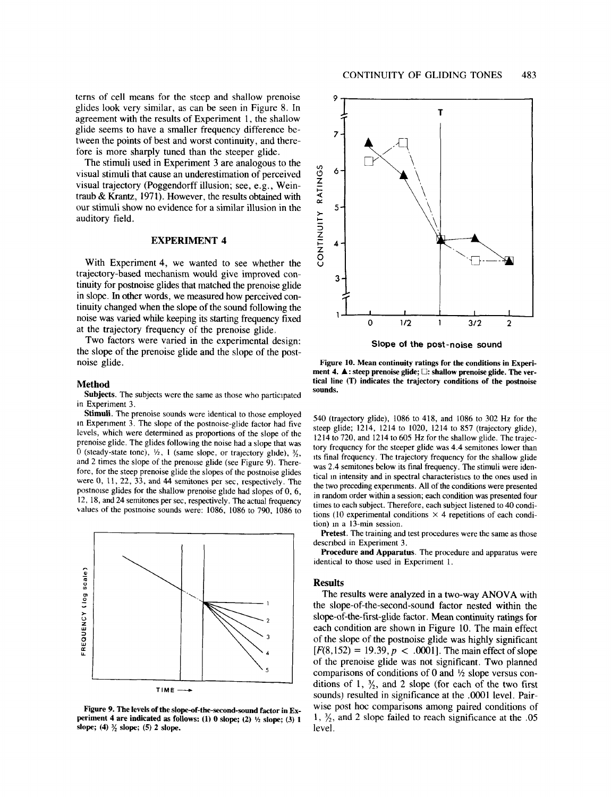terns of cell means for the steep and shallow prenoise glides look very similar, as can be seen in Figure 8. In agreement with the results of Experiment 1, the shallow glide seems to have a smaller frequency difference between the points of best and worst continuity, and therefore is more sharply tuned than the steeper glide.

**The** stimuli used in Experiment 3 are analogous to the visual stimuli that cause an underestimation of perceived visual trajectory (Poggendorff illusion; see, e.g., Weintraub & Krantz, 1971). However, the results obtained with our stimuli show no evidence for a similar illusion in the auditory field.

# **EXPERIMENT 4**

With Experiment 4, we wanted to see whether the trajectory-based mechanism would give improved continuity for postnoise glides that matched the prenoise glide in slope. In other words, we measured how perceived continuity changed when the slope of the sound following the noise was varied while keeping its starting frequency fixed at the trajectory frequency of the prenoise glide.

Two factors were varied in the experimental design: the slope of the prenoise glide and the slope of the postnoise glide.

#### **Method**

**Subjects. The** subjects were the same as those who participated in Experiment 3.

Stimuli. The prenoise sounds were identical to those employed m Experiment 3. The slope of the postnoise-glide factor had five levels, which were determined as proportions of the slope of **the** prenoise glide. The glides following the noise had a slope that was 0 (steady-state tone),  $\frac{1}{2}$ , 1 (same slope, or trajectory glide),  $\frac{3}{2}$ , and 2 times the slope of the prenoise glide (see Figure 9). Therefore, for the steep prenoise glide the slopes of the postnoise glides were 0, 11, 22, 33, and 44 semitones per sec, respectively. **The** postnoise glides for the shallow prenoise glide had slopes of 0, 6, 12, 18, and 24 semitones per sec, respectively. The actual frequency values of the postnoise sounds were: 1086, 1086 to 790, 1086 to



**Figure 9. The levels of the slope-of-the-second-sound factor in Ex**periment 4 are indicated as follows:  $(1)$  0 slope;  $(2)$   $\frac{1}{2}$  slope;  $(3)$  1 slope; (4)  $\frac{3}{2}$  slope; (5) 2 slope.



**Slope of the post-noise sound**

**Figure 10. Mean continuity ratings for the conditions in Experi**ment 4. **△**: steep prenoise glide; □: shallow prenoise glide. The ver**tical line (T) indicates the trajectory conditions of the postnoise sounds.**

540 (trajectory glide), 1086 to 418, and 1086 to 302 Hz for the steep glide; 1214, 1214 to 1020, 1214 to 857 (trajectory glide), 1214 to 720, and 1214 to 605 Hz for the shallow glide. The trajectory frequency for the steeper glide was 4.4 semitones lower than its final frequency. The trajectory frequency for the shallow glide was 2.4 semitones below its final frequency. The stimuli were identical in intensity and in spectral characteristics to the ones used in the two preceding experiments. All of the conditions were presented in random order within a session; each condition was presented four times to each subject. Therefore, each subject listened to 40 conditions (10 experimental conditions  $\times$  4 repetitions of each condition) in a  $13$ -min session.

Pretest. The training and test procedures were the same as those described in Experiment 3.

**Procedure and Apparatus. The** procedure and apparatus were identical to those used in Experiment 1.

## **Results**

The results were analyzed in a two-way ANOVA with **the** slope-of-the-second-sound factor nested within **the** slope-of-the-first-glide factor. Mean continuity ratings for each condition are shown in Figure 10. The main effect of the slope of the postnoise glide was highly significant  $[F(8,152) = 19.39, p < .0001]$ . The main effect of slope of the prenoise glide was not significant. Two planned comparisons of conditions of 0 and *1/z* slope versus conditions of 1,  $\frac{3}{2}$ , and 2 slope (for each of the two first sounds) resulted in significance at the .0001 level. Pairwise post hoc comparisons among paired conditions of 1,  $\frac{3}{2}$ , and 2 slope failed to reach significance at the .05 level.